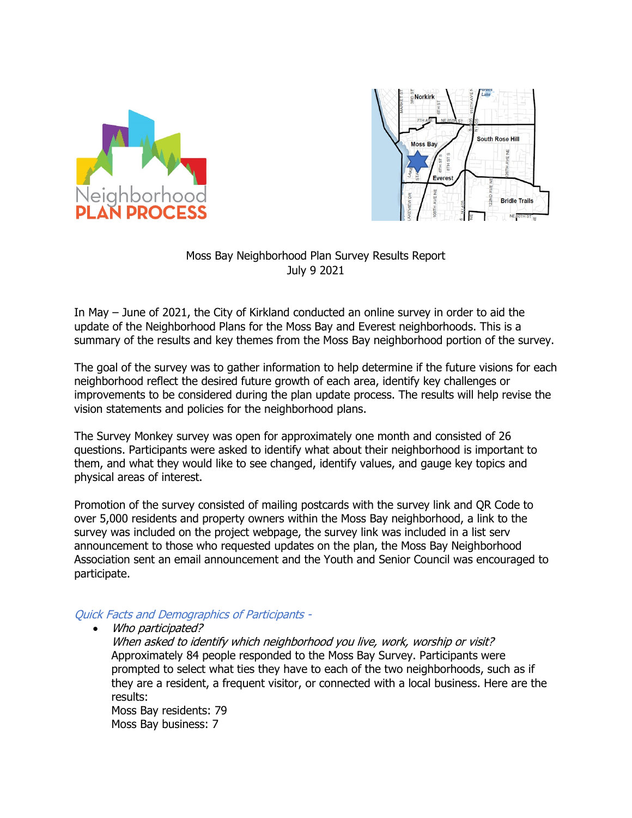



### Moss Bay Neighborhood Plan Survey Results Report July 9 2021

In May – June of 2021, the City of Kirkland conducted an online survey in order to aid the update of the Neighborhood Plans for the Moss Bay and Everest neighborhoods. This is a summary of the results and key themes from the Moss Bay neighborhood portion of the survey.

The goal of the survey was to gather information to help determine if the future visions for each neighborhood reflect the desired future growth of each area, identify key challenges or improvements to be considered during the plan update process. The results will help revise the vision statements and policies for the neighborhood plans.

The Survey Monkey survey was open for approximately one month and consisted of 26 questions. Participants were asked to identify what about their neighborhood is important to them, and what they would like to see changed, identify values, and gauge key topics and physical areas of interest.

Promotion of the survey consisted of mailing postcards with the survey link and QR Code to over 5,000 residents and property owners within the Moss Bay neighborhood, a link to the survey was included on the project webpage, the survey link was included in a list serv announcement to those who requested updates on the plan, the Moss Bay Neighborhood Association sent an email announcement and the Youth and Senior Council was encouraged to participate.

### Quick Facts and Demographics of Participants -

• Who participated?

When asked to identify which neighborhood you live, work, worship or visit? Approximately 84 people responded to the Moss Bay Survey. Participants were prompted to select what ties they have to each of the two neighborhoods, such as if they are a resident, a frequent visitor, or connected with a local business. Here are the results: Moss Bay residents: 79

Moss Bay business: 7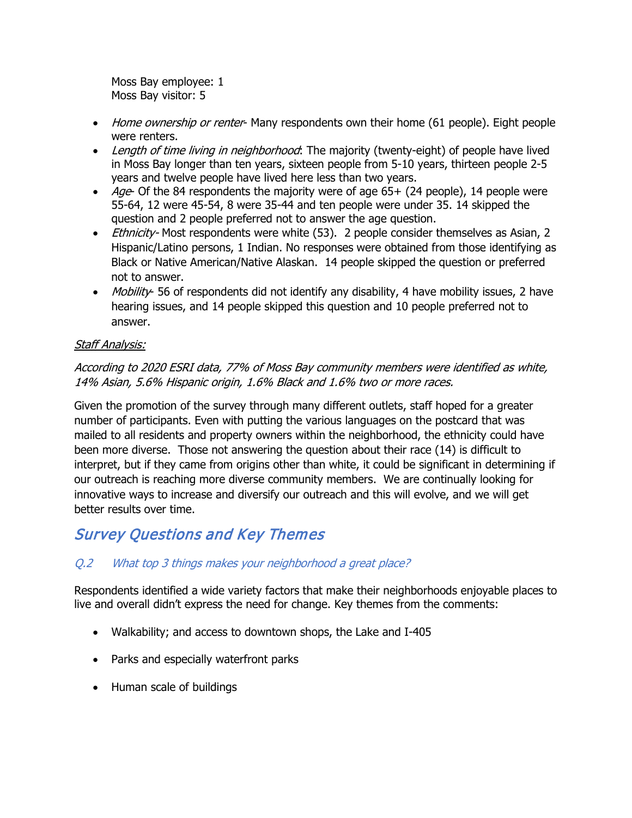Moss Bay employee: 1 Moss Bay visitor: 5

- Home ownership or renter- Many respondents own their home (61 people). Eight people were renters.
- Length of time living in neighborhood: The majority (twenty-eight) of people have lived in Moss Bay longer than ten years, sixteen people from 5-10 years, thirteen people 2-5 years and twelve people have lived here less than two years.
- Age- Of the 84 respondents the majority were of age  $65+$  (24 people), 14 people were 55-64, 12 were 45-54, 8 were 35-44 and ten people were under 35. 14 skipped the question and 2 people preferred not to answer the age question.
- *Ethnicity* Most respondents were white (53). 2 people consider themselves as Asian, 2 Hispanic/Latino persons, 1 Indian. No responses were obtained from those identifying as Black or Native American/Native Alaskan. 14 people skipped the question or preferred not to answer.
- Mobility- 56 of respondents did not identify any disability, 4 have mobility issues, 2 have hearing issues, and 14 people skipped this question and 10 people preferred not to answer.

# Staff Analysis:

# According to 2020 ESRI data, 77% of Moss Bay community members were identified as white, 14% Asian, 5.6% Hispanic origin, 1.6% Black and 1.6% two or more races.

Given the promotion of the survey through many different outlets, staff hoped for a greater number of participants. Even with putting the various languages on the postcard that was mailed to all residents and property owners within the neighborhood, the ethnicity could have been more diverse. Those not answering the question about their race (14) is difficult to interpret, but if they came from origins other than white, it could be significant in determining if our outreach is reaching more diverse community members. We are continually looking for innovative ways to increase and diversify our outreach and this will evolve, and we will get better results over time.

# Survey Questions and Key Themes

# Q.2 What top 3 things makes your neighborhood a great place?

Respondents identified a wide variety factors that make their neighborhoods enjoyable places to live and overall didn't express the need for change. Key themes from the comments:

- Walkability; and access to downtown shops, the Lake and I-405
- Parks and especially waterfront parks
- Human scale of buildings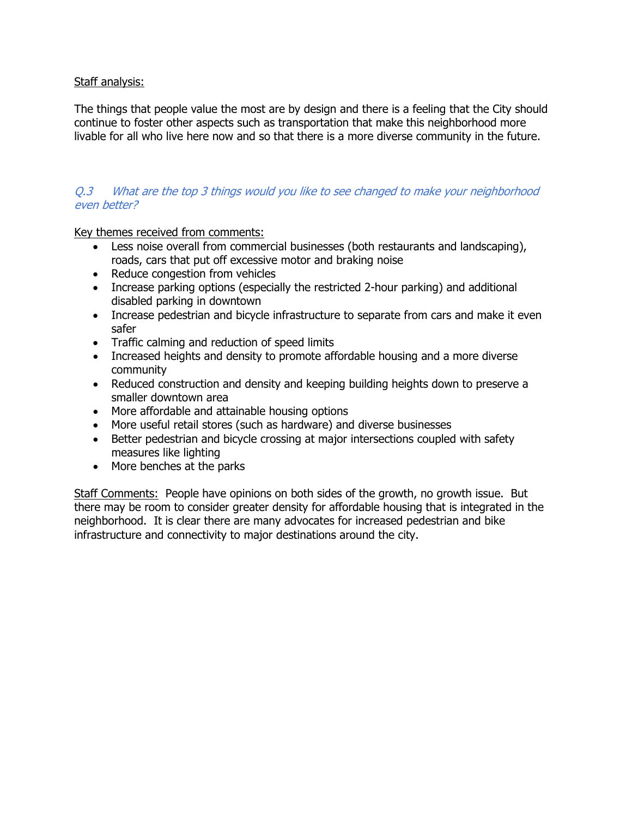### Staff analysis:

The things that people value the most are by design and there is a feeling that the City should continue to foster other aspects such as transportation that make this neighborhood more livable for all who live here now and so that there is a more diverse community in the future.

### Q.3 What are the top 3 things would you like to see changed to make your neighborhood even better?

Key themes received from comments:

- Less noise overall from commercial businesses (both restaurants and landscaping), roads, cars that put off excessive motor and braking noise
- Reduce congestion from vehicles
- Increase parking options (especially the restricted 2-hour parking) and additional disabled parking in downtown
- Increase pedestrian and bicycle infrastructure to separate from cars and make it even safer
- Traffic calming and reduction of speed limits
- Increased heights and density to promote affordable housing and a more diverse community
- Reduced construction and density and keeping building heights down to preserve a smaller downtown area
- More affordable and attainable housing options
- More useful retail stores (such as hardware) and diverse businesses
- Better pedestrian and bicycle crossing at major intersections coupled with safety measures like lighting
- More benches at the parks

Staff Comments: People have opinions on both sides of the growth, no growth issue. But there may be room to consider greater density for affordable housing that is integrated in the neighborhood. It is clear there are many advocates for increased pedestrian and bike infrastructure and connectivity to major destinations around the city.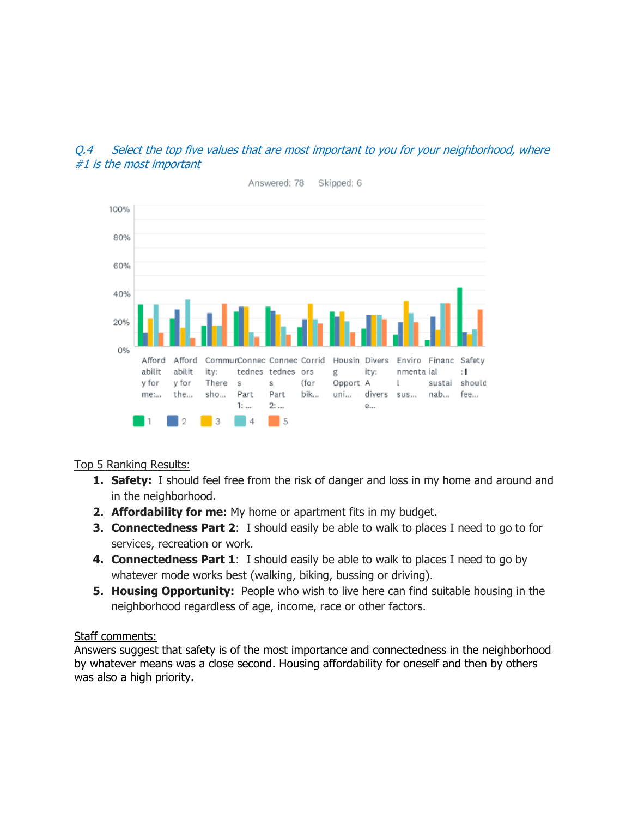# Q.4 Select the top five values that are most important to you for your neighborhood, where #1 is the most important



# Top 5 Ranking Results:

- **1. Safety:** I should feel free from the risk of danger and loss in my home and around and in the neighborhood.
- **2. Affordability for me:** My home or apartment fits in my budget.
- **3. Connectedness Part 2**: I should easily be able to walk to places I need to go to for services, recreation or work.
- **4. Connectedness Part 1**: I should easily be able to walk to places I need to go by whatever mode works best (walking, biking, bussing or driving).
- **5. Housing Opportunity:** People who wish to live here can find suitable housing in the neighborhood regardless of age, income, race or other factors.

# Staff comments:

Answers suggest that safety is of the most importance and connectedness in the neighborhood by whatever means was a close second. Housing affordability for oneself and then by others was also a high priority.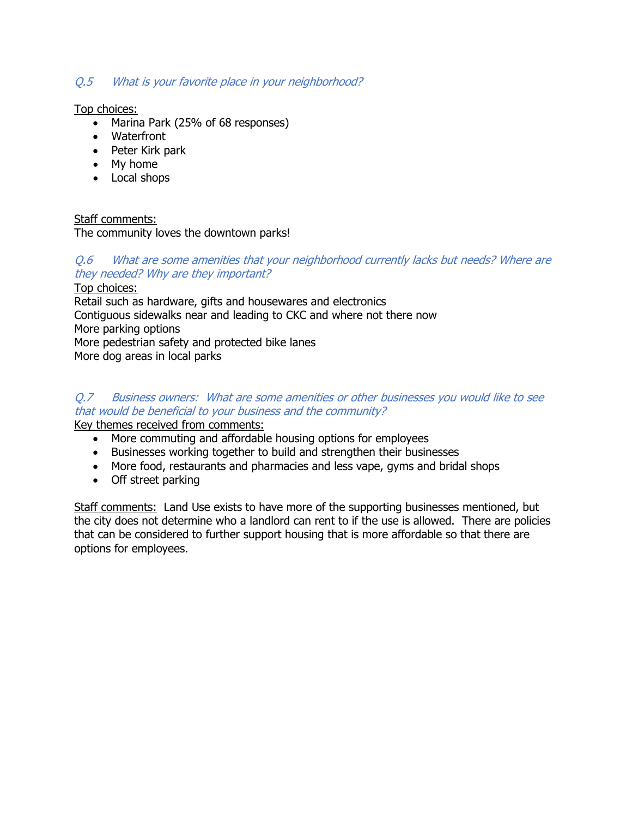# Q.5 What is your favorite place in your neighborhood?

Top choices:

- Marina Park (25% of 68 responses)
- Waterfront
- Peter Kirk park
- My home
- Local shops

# Staff comments:

The community loves the downtown parks!

# Q.6 What are some amenities that your neighborhood currently lacks but needs? Where are they needed? Why are they important?

Top choices: Retail such as hardware, gifts and housewares and electronics Contiguous sidewalks near and leading to CKC and where not there now More parking options More pedestrian safety and protected bike lanes More dog areas in local parks

# Q.7 Business owners: What are some amenities or other businesses you would like to see that would be beneficial to your business and the community?

Key themes received from comments:

- More commuting and affordable housing options for employees
- Businesses working together to build and strengthen their businesses
- More food, restaurants and pharmacies and less vape, gyms and bridal shops
- Off street parking

Staff comments: Land Use exists to have more of the supporting businesses mentioned, but the city does not determine who a landlord can rent to if the use is allowed. There are policies that can be considered to further support housing that is more affordable so that there are options for employees.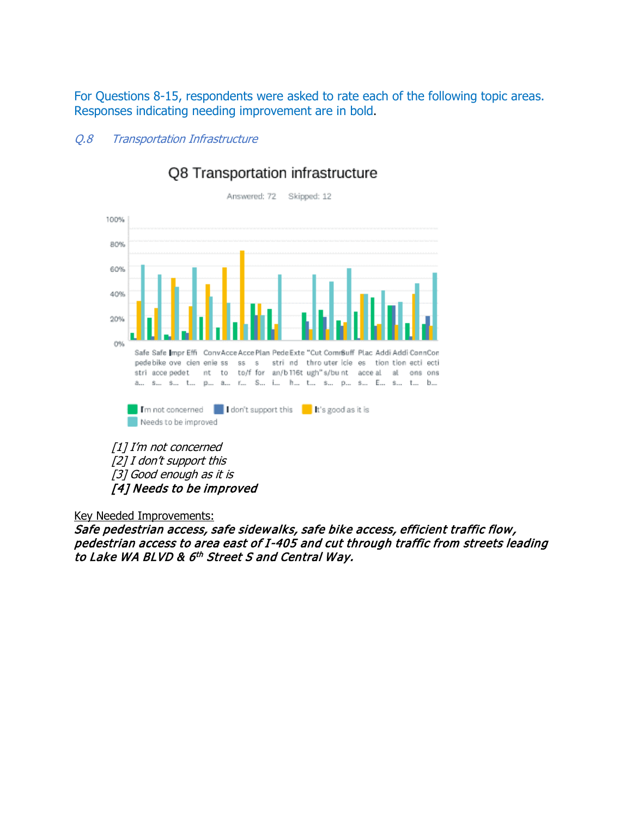For Questions 8-15, respondents were asked to rate each of the following topic areas. Responses indicating needing improvement are in bold.

### Q.8 Transportation Infrastructure



# Q8 Transportation infrastructure

[1] I'm not concerned [2] I don't support this [3] Good enough as it is [4] Needs to be improved

Key Needed Improvements:

Safe pedestrian access, safe sidewalks, safe bike access, efficient traffic flow, pedestrian access to area east of I-405 and cut through traffic from streets leading to Lake WA BLVD & 6<sup>th</sup> Street S and Central Way.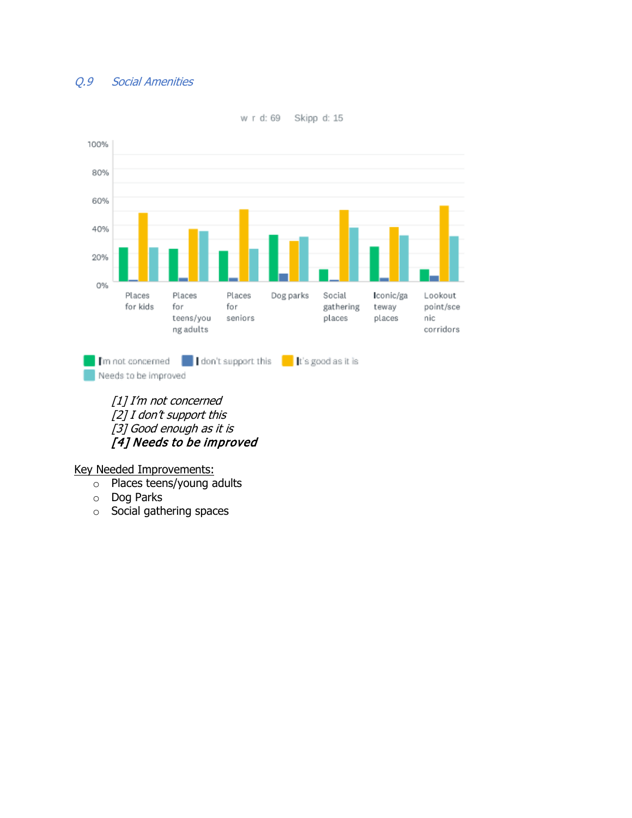# Q.9 Social Amenities



w r d: 69 Skipp d: 15

[1] I'm not concerned [2] I don't support this [3] Good enough as it is [4] Needs to be improved

#### Key Needed Improvements:

- o Places teens/young adults
- o Dog Parks
- o Social gathering spaces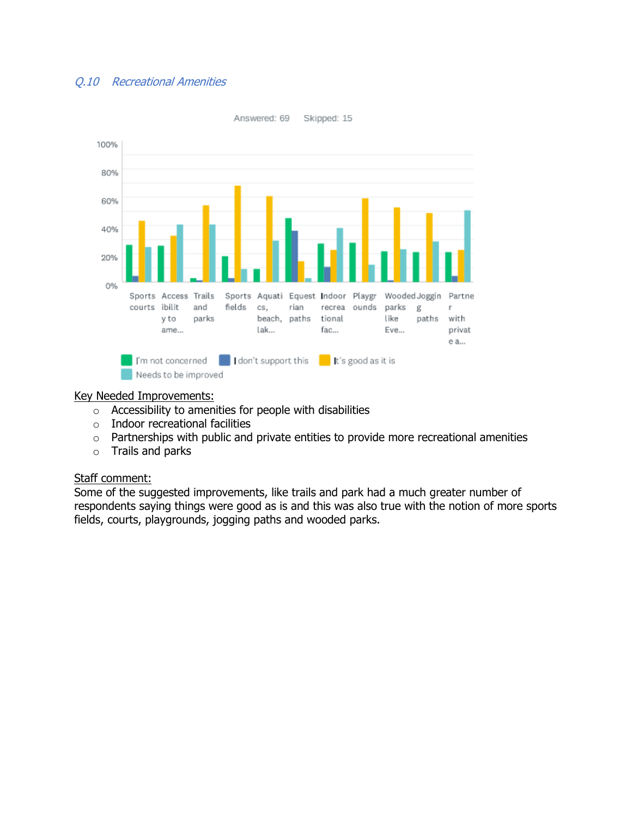# Q.10 Recreational Amenities



Key Needed Improvements:

- o Accessibility to amenities for people with disabilities
- o Indoor recreational facilities
- o Partnerships with public and private entities to provide more recreational amenities
- $\circ$  Trails and parks

#### Staff comment:

Some of the suggested improvements, like trails and park had a much greater number of respondents saying things were good as is and this was also true with the notion of more sports fields, courts, playgrounds, jogging paths and wooded parks.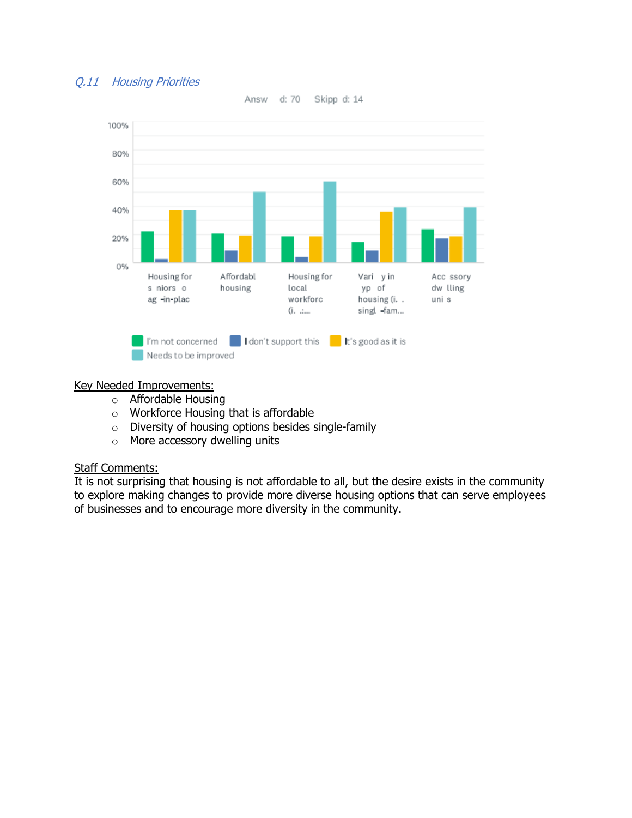# Q.11 Housing Priorities



Answ d: 70 Skipp d: 14

#### Key Needed Improvements:

- o Affordable Housing
- o Workforce Housing that is affordable
- o Diversity of housing options besides single-family
- o More accessory dwelling units

### Staff Comments:

It is not surprising that housing is not affordable to all, but the desire exists in the community to explore making changes to provide more diverse housing options that can serve employees of businesses and to encourage more diversity in the community.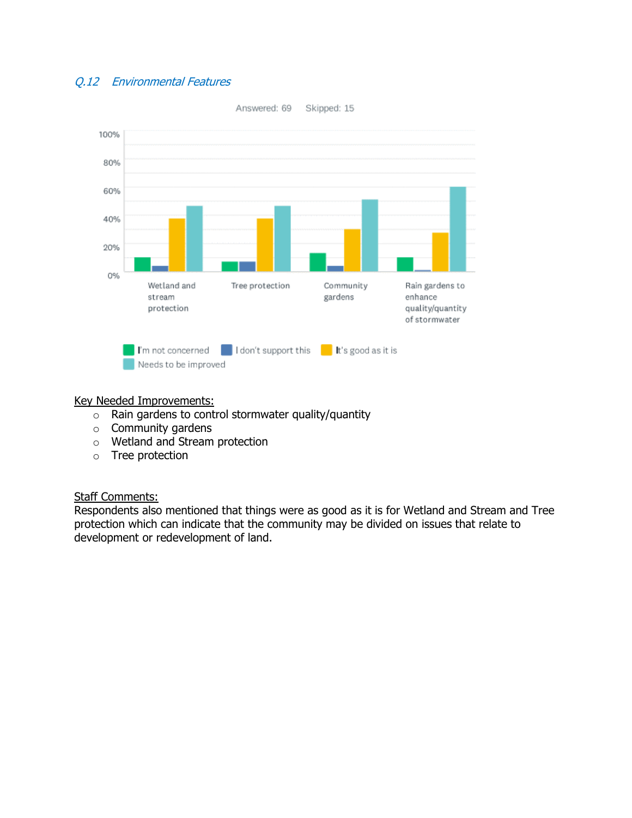# Q.12 Environmental Features



#### Key Needed Improvements:

- $\circ$  Rain gardens to control stormwater quality/quantity
- o Community gardens
- o Wetland and Stream protection
- o Tree protection

### Staff Comments:

Respondents also mentioned that things were as good as it is for Wetland and Stream and Tree protection which can indicate that the community may be divided on issues that relate to development or redevelopment of land.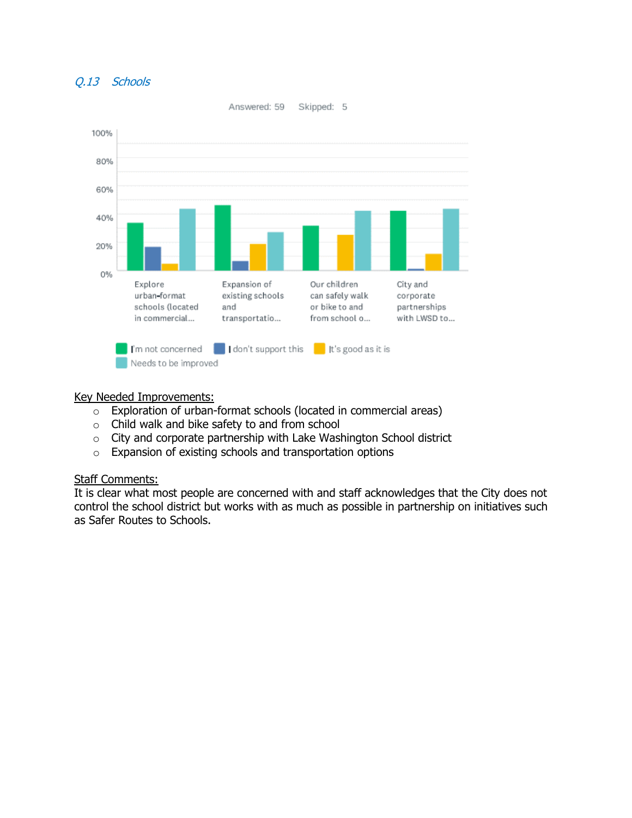### Q.13 Schools



#### Key Needed Improvements:

- o Exploration of urban-format schools (located in commercial areas)
- o Child walk and bike safety to and from school
- o City and corporate partnership with Lake Washington School district
- o Expansion of existing schools and transportation options

#### Staff Comments:

It is clear what most people are concerned with and staff acknowledges that the City does not control the school district but works with as much as possible in partnership on initiatives such as Safer Routes to Schools.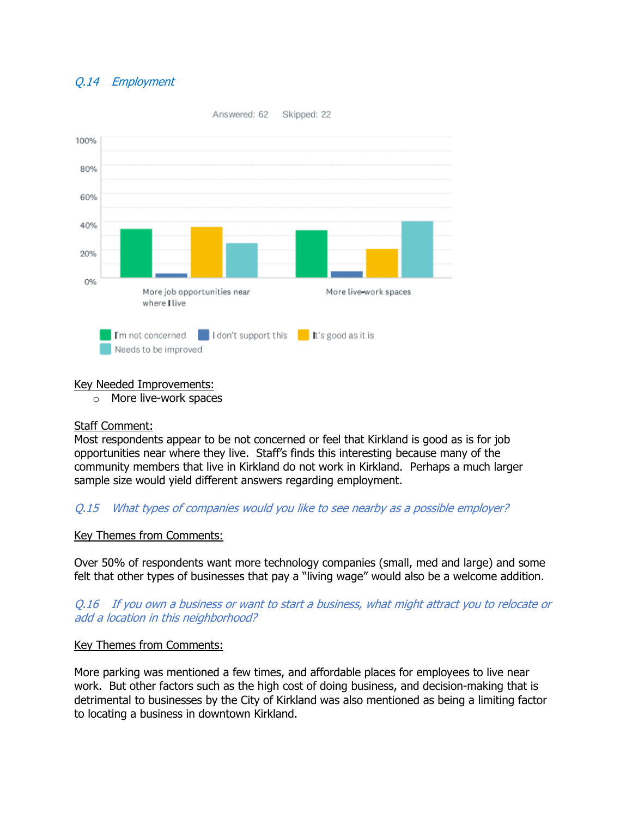# Q.14 Employment



### Key Needed Improvements:

o More live-work spaces

# Staff Comment:

Most respondents appear to be not concerned or feel that Kirkland is good as is for job opportunities near where they live. Staff's finds this interesting because many of the community members that live in Kirkland do not work in Kirkland. Perhaps a much larger sample size would yield different answers regarding employment.

# Q.15 What types of companies would you like to see nearby as a possible employer?

### Key Themes from Comments:

Over 50% of respondents want more technology companies (small, med and large) and some felt that other types of businesses that pay a "living wage" would also be a welcome addition.

Q.16 If you own a business or want to start a business, what might attract you to relocate or add a location in this neighborhood?

### Key Themes from Comments:

More parking was mentioned a few times, and affordable places for employees to live near work. But other factors such as the high cost of doing business, and decision-making that is detrimental to businesses by the City of Kirkland was also mentioned as being a limiting factor to locating a business in downtown Kirkland.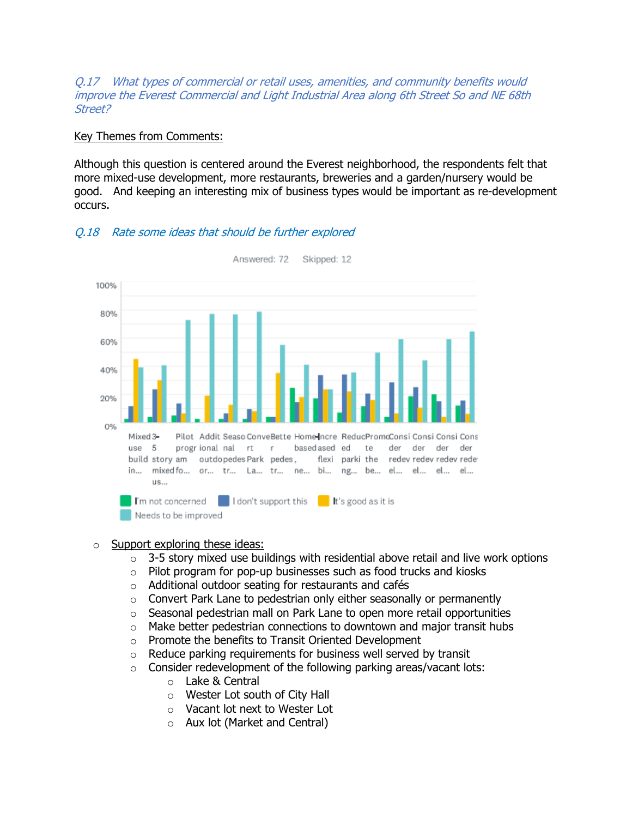Q.17 What types of commercial or retail uses, amenities, and community benefits would improve the Everest Commercial and Light Industrial Area along 6th Street So and NE 68th Street?

#### Key Themes from Comments:

Although this question is centered around the Everest neighborhood, the respondents felt that more mixed-use development, more restaurants, breweries and a garden/nursery would be good. And keeping an interesting mix of business types would be important as re-development occurs.



### Q.18 Rate some ideas that should be further explored

#### $\circ$  Support exploring these ideas:

- $\circ$  3-5 story mixed use buildings with residential above retail and live work options
- $\circ$  Pilot program for pop-up businesses such as food trucks and kiosks
- o Additional outdoor seating for restaurants and cafés
- o Convert Park Lane to pedestrian only either seasonally or permanently
- o Seasonal pedestrian mall on Park Lane to open more retail opportunities
- $\circ$  Make better pedestrian connections to downtown and major transit hubs
- o Promote the benefits to Transit Oriented Development
- $\circ$  Reduce parking requirements for business well served by transit
- $\circ$  Consider redevelopment of the following parking areas/vacant lots:
	- o Lake & Central
	- o Wester Lot south of City Hall
	- o Vacant lot next to Wester Lot
	- o Aux lot (Market and Central)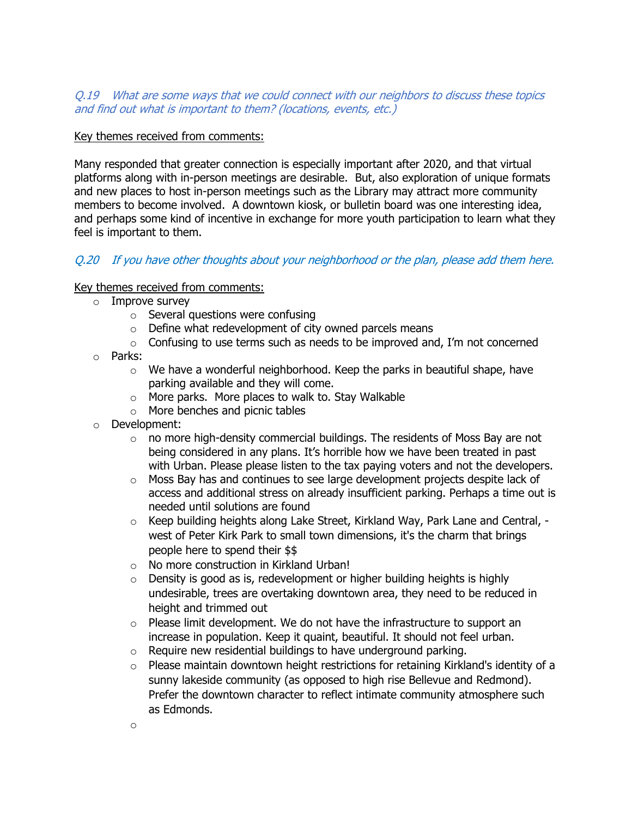### Q.19 What are some ways that we could connect with our neighbors to discuss these topics and find out what is important to them? (locations, events, etc.)

### Key themes received from comments:

Many responded that greater connection is especially important after 2020, and that virtual platforms along with in-person meetings are desirable. But, also exploration of unique formats and new places to host in-person meetings such as the Library may attract more community members to become involved. A downtown kiosk, or bulletin board was one interesting idea, and perhaps some kind of incentive in exchange for more youth participation to learn what they feel is important to them.

# Q.20 If you have other thoughts about your neighborhood or the plan, please add them here.

### Key themes received from comments:

- $\circ$  Improve survey
	- $\circ$  Several questions were confusing
	- $\circ$  Define what redevelopment of city owned parcels means
	- $\circ$  Confusing to use terms such as needs to be improved and, I'm not concerned
- o Parks:
	- $\circ$  We have a wonderful neighborhood. Keep the parks in beautiful shape, have parking available and they will come.
	- $\circ$  More parks. More places to walk to. Stay Walkable
	- o More benches and picnic tables
- o Development:
	- $\circ$  no more high-density commercial buildings. The residents of Moss Bay are not being considered in any plans. It's horrible how we have been treated in past with Urban. Please please listen to the tax paying voters and not the developers.
	- o Moss Bay has and continues to see large development projects despite lack of access and additional stress on already insufficient parking. Perhaps a time out is needed until solutions are found
	- o Keep building heights along Lake Street, Kirkland Way, Park Lane and Central, west of Peter Kirk Park to small town dimensions, it's the charm that brings people here to spend their \$\$
	- $\circ$  No more construction in Kirkland Urban!<br> $\circ$  Density is good as is, redevelopment or I
	- Density is good as is, redevelopment or higher building heights is highly undesirable, trees are overtaking downtown area, they need to be reduced in height and trimmed out
	- $\circ$  Please limit development. We do not have the infrastructure to support an increase in population. Keep it quaint, beautiful. It should not feel urban.
	- o Require new residential buildings to have underground parking.
	- $\circ$  Please maintain downtown height restrictions for retaining Kirkland's identity of a sunny lakeside community (as opposed to high rise Bellevue and Redmond). Prefer the downtown character to reflect intimate community atmosphere such as Edmonds.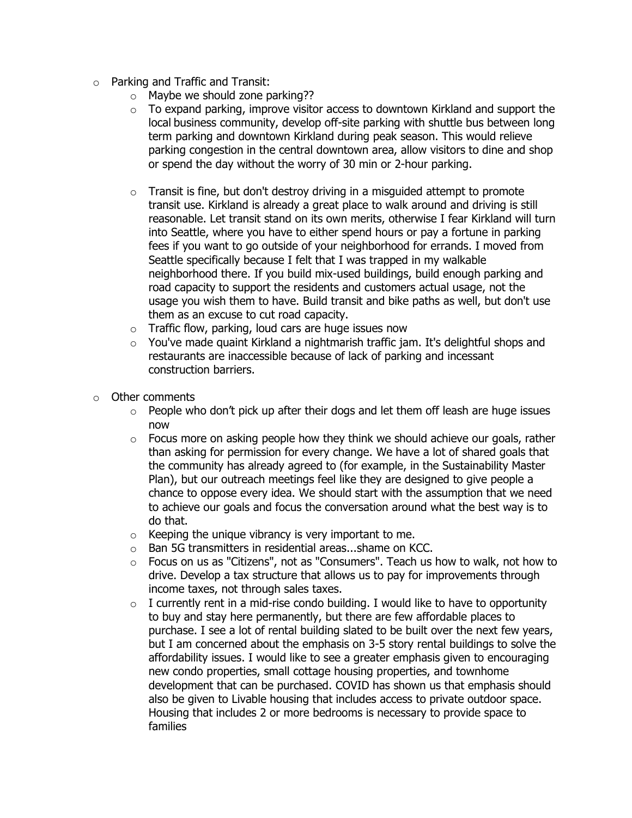- o Parking and Traffic and Transit:
	- $\circ$  Maybe we should zone parking??
	- o To expand parking, improve visitor access to downtown Kirkland and support the local business community, develop off-site parking with shuttle bus between long term parking and downtown Kirkland during peak season. This would relieve parking congestion in the central downtown area, allow visitors to dine and shop or spend the day without the worry of 30 min or 2-hour parking.
	- $\circ$  Transit is fine, but don't destroy driving in a misquided attempt to promote transit use. Kirkland is already a great place to walk around and driving is still reasonable. Let transit stand on its own merits, otherwise I fear Kirkland will turn into Seattle, where you have to either spend hours or pay a fortune in parking fees if you want to go outside of your neighborhood for errands. I moved from Seattle specifically because I felt that I was trapped in my walkable neighborhood there. If you build mix-used buildings, build enough parking and road capacity to support the residents and customers actual usage, not the usage you wish them to have. Build transit and bike paths as well, but don't use them as an excuse to cut road capacity.
	- o Traffic flow, parking, loud cars are huge issues now
	- o You've made quaint Kirkland a nightmarish traffic jam. It's delightful shops and restaurants are inaccessible because of lack of parking and incessant construction barriers.
- o Other comments
	- $\circ$  People who don't pick up after their dogs and let them off leash are huge issues now
	- $\circ$  Focus more on asking people how they think we should achieve our goals, rather than asking for permission for every change. We have a lot of shared goals that the community has already agreed to (for example, in the Sustainability Master Plan), but our outreach meetings feel like they are designed to give people a chance to oppose every idea. We should start with the assumption that we need to achieve our goals and focus the conversation around what the best way is to do that.
	- $\circ$  Keeping the unique vibrancy is very important to me.
	- $\circ$  Ban 5G transmitters in residential areas...shame on KCC.<br> $\circ$  Focus on us as "Citizens", not as "Consumers". Teach us
	- Focus on us as "Citizens", not as "Consumers". Teach us how to walk, not how to drive. Develop a tax structure that allows us to pay for improvements through income taxes, not through sales taxes.
	- $\circ$  I currently rent in a mid-rise condo building. I would like to have to opportunity to buy and stay here permanently, but there are few affordable places to purchase. I see a lot of rental building slated to be built over the next few years, but I am concerned about the emphasis on 3-5 story rental buildings to solve the affordability issues. I would like to see a greater emphasis given to encouraging new condo properties, small cottage housing properties, and townhome development that can be purchased. COVID has shown us that emphasis should also be given to Livable housing that includes access to private outdoor space. Housing that includes 2 or more bedrooms is necessary to provide space to families